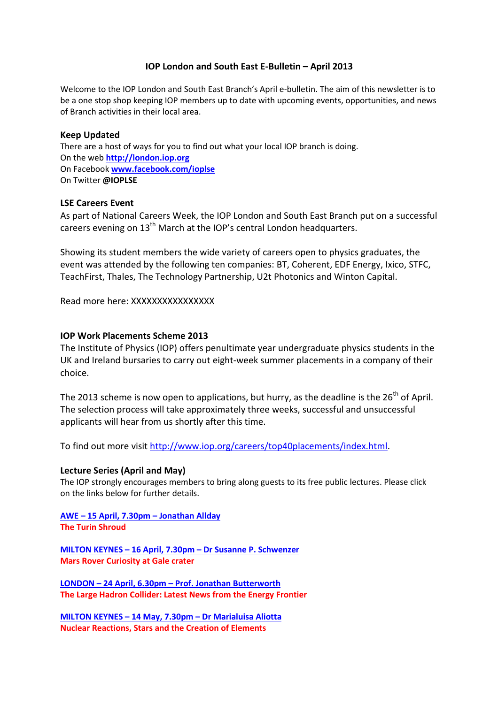# IOP London and South East E-Bulletin – April 2013

Welcome to the IOP London and South East Branch's April e-bulletin. The aim of this newsletter is to be a one stop shop keeping IOP members up to date with upcoming events, opportunities, and news of Branch activities in their local area.

#### Keep Updated

There are a host of ways for you to find out what your local IOP branch is doing. On the web http://london.iop.org On Facebook www.facebook.com/ioplse On Twitter @IOPLSE

### LSE Careers Event

As part of National Careers Week, the IOP London and South East Branch put on a successful careers evening on  $13<sup>th</sup>$  March at the IOP's central London headquarters.

Showing its student members the wide variety of careers open to physics graduates, the event was attended by the following ten companies: BT, Coherent, EDF Energy, Ixico, STFC, TeachFirst, Thales, The Technology Partnership, U2t Photonics and Winton Capital.

Read more here: XXXXXXXXXXXXXXXX

# IOP Work Placements Scheme 2013

The Institute of Physics (IOP) offers penultimate year undergraduate physics students in the UK and Ireland bursaries to carry out eight-week summer placements in a company of their choice.

The 2013 scheme is now open to applications, but hurry, as the deadline is the  $26<sup>th</sup>$  of April. The selection process will take approximately three weeks, successful and unsuccessful applicants will hear from us shortly after this time.

To find out more visit http://www.iop.org/careers/top40placements/index.html.

#### Lecture Series (April and May)

The IOP strongly encourages members to bring along guests to its free public lectures. Please click on the links below for further details.

AWE – 15 April, 7.30pm – Jonathan Allday The Turin Shroud

MILTON KEYNES – 16 April, 7.30pm – Dr Susanne P. Schwenzer Mars Rover Curiosity at Gale crater

LONDON – 24 April, 6.30pm – Prof. Jonathan Butterworth The Large Hadron Collider: Latest News from the Energy Frontier

MILTON KEYNES – 14 May, 7.30pm – Dr Marialuisa Aliotta Nuclear Reactions, Stars and the Creation of Elements